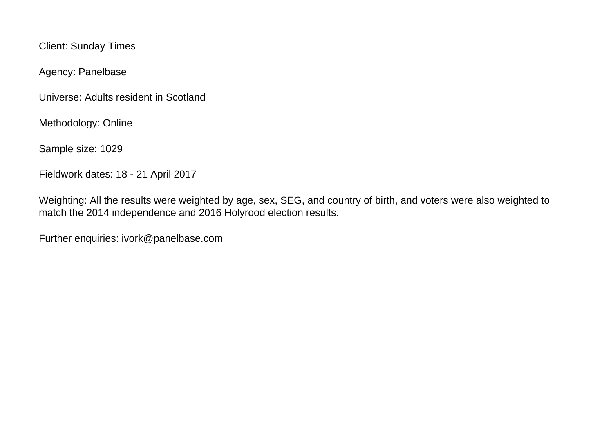Client: Sunday Times

Agency: Panelbase

Universe: Adults resident in Scotland

Methodology: Online

Sample size: 1029

Fieldwork dates: 18 - 21 April 2017

Weighting: All the results were weighted by age, sex, SEG, and country of birth, and voters were also weighted to match the 2014 independence and 2016 Holyrood election results.

Further enquiries: ivork@panelbase.com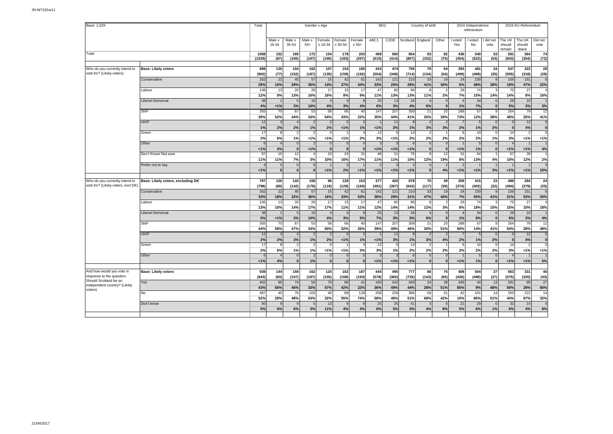| Base: 1,029                        |                                   | Total          | Gender x Age    |                          |                       |                   |                        |                 |              | <b>SEG</b>        |                    | Country of birth |            |                | 2014 Independence<br>referendum |                 | 2016 EU Referendum         |                           |                            |
|------------------------------------|-----------------------------------|----------------|-----------------|--------------------------|-----------------------|-------------------|------------------------|-----------------|--------------|-------------------|--------------------|------------------|------------|----------------|---------------------------------|-----------------|----------------------------|---------------------------|----------------------------|
|                                    |                                   |                | Male x<br>16-34 | Male x<br>35-54          | Male x<br>$55+$       | Female<br>x 16-34 | Female<br>x 35-54      | Female<br>x 55+ | ABC1         | C <sub>2</sub> DE | Scotland           | England          | Other      | I voted<br>Yes | I voted<br><b>No</b>            | did not<br>vote | The UK<br>should<br>remain | The UK<br>should<br>leave | Did not<br>vote            |
| Total                              |                                   | 1008<br>(1029) | 152<br>(87)     | 169<br>(165)             | 172<br>(197)          | 154<br>(190)      | 178<br>(183)           | 203<br>(207)    | 469<br>(615) | 560<br>(414)      | 854<br>(807)       | 93<br>(152)      | 82<br>(70) | 436<br>(454)   | 540<br>(522)                    | 53<br>(53)      | 591<br>(603)               | 364<br>(354)              | 74<br>(72)                 |
|                                    |                                   |                |                 |                          |                       |                   |                        |                 |              |                   |                    |                  |            |                |                                 |                 |                            |                           |                            |
| Who do you currently intend to     | <b>Base: Likely voters</b>        | 898            | 135             | 154                      | 162                   | 107               | 154                    | 185             | 424          | 474               | 755                | 79               | 64         | 393            | 481                             | 24              | 547                        | 323                       | 28                         |
| vote for? (Likely voters)          |                                   | (902)          | (77)            | (152)                    | (187)                 | (135)             | (159)                  | (192)           | (554)        | (348)             | (714)              | (134)            | (54)       | (409)          | (468)                           | (25)            | (555)                      | (318)                     | (29)                       |
|                                    | Conservative                      | 262            | 22              | 45                       | 57                    | 15                | 42                     | 81              | 142          | 121               | 210                | 33               | 19         | 24             | 230                             |                 | 105                        | 151                       | 6                          |
|                                    |                                   | 29%            | 16%             | 29%                      | 35%                   | 14%               | 27%                    | 44%             | 33%          | 25%               | 28%                | 41%              | 30%        | 6%             | 48%                             | 38%             | 19%                        | 47%                       | 22%                        |
|                                    | Labour                            | 106            | 13              | 20                       | 26                    | 17                | 15                     | 17              | 47           | 60                | 96                 |                  |            | 29             | 74                              |                 | 75                         | 27                        |                            |
|                                    |                                   | 12%            | 9%              | 13%                      | 16%                   | 16%               | 9%                     | 9%              | 11%          | 13%               | 13%                | 11%              | 2%         | 7%             | 15%                             | 14%             | 14%                        | 8%                        | 16%                        |
|                                    | Liberal Democrat                  | 38             |                 | 5                        | 16                    |                   | $\overline{4}$         |                 | 25           | 13                | 34                 |                  |            |                | 34                              |                 | 28                         | 10                        |                            |
|                                    |                                   | 4%             | 1%              | 3%                       | 10%                   | 4%                | 3%                     | 4%              | 6%           | 3%                | 4%                 | 6%               |            | 1%             | 7%                              |                 | 5%                         | 3%                        | 3%                         |
|                                    | SNP                               | 355            | 70              | 67<br>44%                | 53                    | 58                | 66<br>43%              | 40              | 147<br>35%   | 207               | 309                | 21               | 25<br>39%  | 288            | 57                              |                 | 264                        | 79                        | 12                         |
|                                    | <b>UKIP</b>                       | 39%<br>12      | 52%             | $\Delta$                 | 33%<br>$\overline{2}$ | 54%               | $\Omega$               | 22%             |              | 44%<br>11         | 41%                | 26%              |            | 73%            | 12%<br>$5\frac{1}{2}$           | 38%             | 48%<br>$\Omega$            | 25%<br>12                 | 41%<br>$\mathbf 0$         |
|                                    |                                   | 1%             | 2%              | 2%                       | 1%                    | 2%                | 1%                     | 1%              | 1%           | 2%                | 1%                 | 3%               | 3%         | 2%             | 1%                              | 2%              | $\mathbf{0}$               | 4%                        | $\mathbf 0$                |
|                                    | Green                             | 17             | £               | $\overline{\phantom{0}}$ | $\overline{2}$        | <b>r</b>          |                        |                 | 12           |                   | 14                 |                  |            |                | 10                              |                 | 14                         | $\overline{2}$            | $\Omega$                   |
|                                    |                                   | 2%             | 6%              | 1%                       | 1%                    | < 1%              | 1%                     | 2%              | 3%           | 1%                | 2%                 | 2%               | 2%         | 2%             | 2%                              | 1%              | 3%                         | 1%                        | 1%                         |
|                                    | Other                             |                |                 | $\Omega$                 |                       |                   | $\Omega$               |                 |              |                   | $\epsilon$         | $\sqrt{ }$       |            |                | 5                               |                 |                            |                           |                            |
|                                    |                                   | 1%             | 3%              | $\overline{\mathbf{0}}$  | $1\%$                 | $\epsilon$        | $\mathbf{0}$           |                 | 1%           | 1%                | 1%                 | $\mathbf{0}$     |            | 1%             | 1%                              |                 | 1%                         | 1%                        | 4%                         |
|                                    | Don't Know/ Not sure              | 97             | 15              | 12                       |                       | 10                | 24                     | 31              | 46           | 51                | 75                 |                  | 12         | 31             | 64                              |                 | 57                         | 39                        |                            |
|                                    |                                   | 11%            | 11%             | 7%                       | 3%                    | 10%               | 16%                    | 17%             | 11%          | 11%               | 10%                | 12%              | 19%        | 8%             | 13%                             | 4%              | 10%                        | 12%                       | 2%                         |
|                                    | Prefer not to say                 |                |                 | $\overline{0}$           | $\mathbf{0}$          |                   | -3                     |                 |              |                   |                    |                  |            |                |                                 |                 |                            |                           | 3                          |
|                                    |                                   | < 1%           | $\mathbf{0}$    | $\mathbf{0}$             | $\mathbf{0}$          | 1%                | 2%                     | < 1%            | 1%           | 1%                | 1%                 | $\mathbf{0}$     | 4%         | < 1%           | 1%                              | 3%              | 1%                         | 1%                        | 10%                        |
|                                    |                                   |                |                 |                          |                       |                   |                        |                 |              |                   |                    |                  |            |                |                                 |                 |                            |                           |                            |
| Who do you currently intend to     | Base: Likely voters, excluding DK | 797            | 120             | 143                      | 158                   | 96                | 128                    | 153             | 377          | 420               | 678                | 70               | 49         | 359            | 415                             | 23              | 489                        | 284                       | 24                         |
| vote for? (Likely voters, excl DK) |                                   | (798)          | (69)            | (142)                    | (179)                 | (119)             | (129)                  | (160)           | (491)        | (307)             | (642)              | (117)            | (39)       | (374)          | (402)                           | (22)            | (494)                      | (279)                     | (25)                       |
|                                    | Conservative                      | 262            | 22              | 45                       | 57                    | 15                | 42                     | 81              | 142          | 121               | 210                | 33               | 19         | 24             | 230                             |                 | 105                        | 151                       | 6                          |
|                                    |                                   | 33%            | 18%             | 32%                      | 36%                   | 16%               | 33%                    | 53%             | 38%          | 29%               | 31%                | 47%              | 40%        | 7%             | 55%                             | 41%             | 21%                        | 53%                       | 25%                        |
|                                    | Labour                            | 106            | 13              | 20                       | 26                    | 17                | 15                     | 17              | 47           | 60                | 96                 |                  |            | 29             | 74                              |                 | 75                         | 27                        |                            |
|                                    |                                   | 13%            | 10%             | 14%                      | 17%                   | 17%               | 11%                    | 11%             | 12%          | 14%               | 14%                | 12%              | 3%         | 8%             | 18%                             | 15%             | 15%                        | 10%                       | 18%                        |
|                                    | Liberal Democrat                  | 38             |                 | 5                        | 16                    |                   | $\boldsymbol{\Lambda}$ |                 | 25           | 13                | 34                 |                  |            |                | 34                              |                 | 28                         | 10                        |                            |
|                                    |                                   | 5%             | 1%              | 3%                       | 10%                   | 4%                | 3%                     | 5%              | 7%           | 3%                | 5%                 | 6%               |            | 1%             | 8%                              |                 | 6%                         | 3%                        | 4%                         |
|                                    | <b>SNP</b>                        | 355            | 70              | 67                       | 53                    | 58                | 66                     | 40              | 147          | 207               | 309                | 21               | 25         | 288            | 57                              |                 | 264                        | 79                        | 12                         |
|                                    |                                   | 44%            | 58%             | 47%                      | 34%                   | 60%               | 52%                    | 26%             | 39%          | 49%               | 46%                | 30%              | 51%        | 80%            | 14%                             | 41%             | 54%                        | 28%                       | 48%                        |
|                                    | <b>UKIP</b>                       | 12<br>2%       |                 | 3%                       | $\overline{2}$<br>1%  |                   | $\Omega$<br>1%         | 1%              | 1%           | 11<br>3%          | $\mathbf{8}$<br>1% | $\tilde{z}$      |            | 2%             | 5<br>1%                         |                 | $\Omega$<br>$\mathbf{0}$   | 12<br>4%                  | $\mathbf 0$<br>$\mathbf 0$ |
|                                    | Green                             | 17             | 2%<br>£         | $\mathcal{P}$            |                       | 2%                |                        |                 | 12           |                   | 14                 | 3%               | 4%         |                | 10                              | 2%              | 14                         | $\mathcal{P}$             | $\Omega$                   |
|                                    |                                   | 2%             | 6%              | 1%                       | 1%                    | < 1%              | 1%                     | 3%              | 3%           | 1%                | 2%                 | 2%               | 2%         | 2%             | 2%                              | 2%              | 3%                         | 1%                        | 1%                         |
|                                    | Other                             |                |                 | $\Omega$                 | $\overline{2}$        |                   | $\Omega$               |                 |              |                   |                    |                  |            |                | $\sqrt{5}$                      |                 |                            |                           |                            |
|                                    |                                   | 1%             | 4%              | $\mathbf{0}$             | 1%                    | $\epsilon$        | $\Omega$               |                 | 1%           | 1%                | 1%                 | $\mathbf{0}$     |            | 1%             | 1%                              |                 | 1%                         | 1%                        | 5%                         |
|                                    |                                   |                |                 |                          |                       |                   |                        |                 |              |                   |                    |                  |            |                |                                 |                 |                            |                           |                            |
| And how would you vote in          | <b>Base: Likely voters</b>        | 939            | 144             | 159                      | 162                   | 124               | 163                    | 187             | 444          | 495               | 777                | 86               | 75         | 408            | 504                             | 27              | 563                        | 331                       | 45                         |
| response to the question:          |                                   | (943)          | (83)            | (157)                    | (187)                 | (155)             | (168)                  | (193)           | (578)        | (365)             | (735)              | (143)            | (65)       | (426)          | (490)                           | (27)            | (575)                      | (325)                     | (43)                       |
| Should Scotland be an              | Yes                               | 402            | 95              | 74                       | 54                    | 70                | 68                     | 41              | 160          | 242               | 340                | 24               | 38         | 345            | 44                              | 13              | 281                        | 95                        | 27                         |
| independent country? (Likely       |                                   | 43%            | 66%             | 46%                      | 33%                   | 57%               | 42%                    | 22%             | 36%          | 49%               | 44%                | 28%              | 51%        | 85%            | 9%                              | 48%             | 50%                        | 29%                       | 60%                        |
| voters)                            | <b>No</b>                         | 487            | 40              | 76                       | 103                   | 40                | 89                     | 13 <sub>S</sub> | 258          | 228               | 396                | 59               | 31         | 42             | 431                             | 14              | 250                        | 222                       | 14                         |
|                                    |                                   | 52%            | 28%             | 48%                      | 63%                   | 32%               | 55%                    | 74%             | 58%          | 46%               | 51%                | 68%              | 42%        | 10%            | 86%                             | 51%             | 44%                        | 67%                       | 32%                        |
|                                    | Don't know                        | 50             |                 | 9                        | 5                     | 13                | 6                      |                 | 25           | 25                | 41                 |                  |            | 21             | 29                              |                 | 32                         | 14                        | $\overline{4}$             |
|                                    |                                   | 5%             | 6%              | 6%                       | 3%                    | 11%               | 4%                     | 4%              | 6%           | 5%                | 5%                 | 4%               | 8%         | 5%             | 6%                              | 1%              | 6%                         | 4%                        | 8%                         |
|                                    |                                   |                |                 |                          |                       |                   |                        |                 |              |                   |                    |                  |            |                |                                 |                 |                            |                           |                            |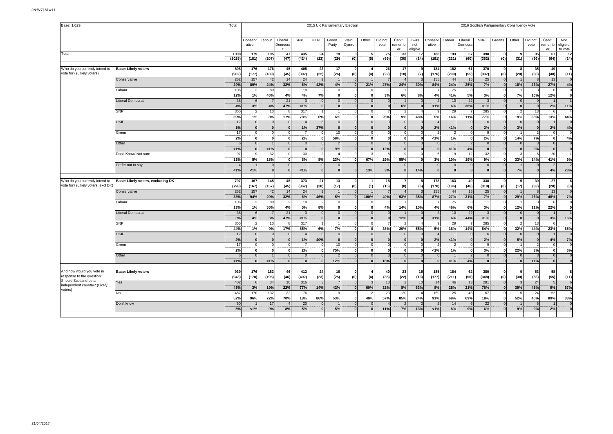| Base: 1,029                                                          |                                   | 2015 UK Parliamentary Election<br>Total |                  |                           |                    |                |                      |                          |                              |                          |                 |                          |              |                  | 2016 Scottish Parliamentary Consituency Vote |                    |                 |                          |                |                          |                     |                                  |  |  |
|----------------------------------------------------------------------|-----------------------------------|-----------------------------------------|------------------|---------------------------|--------------------|----------------|----------------------|--------------------------|------------------------------|--------------------------|-----------------|--------------------------|--------------|------------------|----------------------------------------------|--------------------|-----------------|--------------------------|----------------|--------------------------|---------------------|----------------------------------|--|--|
|                                                                      |                                   |                                         |                  |                           |                    |                |                      |                          |                              |                          |                 |                          |              |                  |                                              |                    |                 |                          |                |                          |                     |                                  |  |  |
|                                                                      |                                   |                                         |                  |                           |                    | SNP            |                      |                          |                              |                          |                 |                          |              |                  |                                              |                    |                 |                          |                |                          |                     |                                  |  |  |
|                                                                      |                                   |                                         | Conserv<br>ative | Labour                    | Liberal<br>Democra |                | UKIP                 | Green<br>Party           | Plaid<br>Cymru               | Other                    | Did not<br>vote | Can't<br>rememb          | I was<br>not | Conserv<br>ative | Labour                                       | Liberal<br>Democra | SNP             | Greens                   | Other          | Did not<br>vote          | Can't<br>ememb      | Not<br>eligible                  |  |  |
|                                                                      |                                   |                                         |                  |                           |                    |                |                      |                          |                              |                          |                 | er                       | eligible     |                  |                                              |                    |                 |                          |                |                          | er                  | to vote                          |  |  |
| Total                                                                |                                   | 1008                                    | 179              | 195                       | 47                 | 435            | 24                   | 19                       | $\Omega$                     | 5                        | 75              | 33                       | 17           | 188              | 193                                          | 67                 | 398             | $\Omega$                 | $\mathbf{q}$   | 95                       | 67                  | 12                               |  |  |
|                                                                      |                                   | (1029                                   | (181)            | (207)                     | (47)               | (424)          | (23)                 | (29)                     | (0)                          | (5)                      | (69)            | (30)                     | (14)         | (181)            | (221)                                        | (60)               | (362)           | (0)                      | (31)           | (96)                     | (64)                | (14)                             |  |  |
|                                                                      |                                   |                                         |                  |                           |                    |                |                      |                          |                              |                          |                 |                          |              |                  |                                              |                    |                 |                          |                |                          |                     |                                  |  |  |
| Who do you currently intend to<br>vote for? (Likely voters)          | <b>Base: Likely voters</b>        | 898                                     | 176              | 176                       | 45                 | 405            | 23                   | 17                       | $\mathbf{0}$                 | $\overline{4}$           | 26              | 17                       |              | 184              | 182                                          | 61                 | 370             | $\mathbf{0}$             |                | 35 <sup>1</sup>          | 49                  | $\mathbf{a}$                     |  |  |
|                                                                      |                                   | (902)                                   | (177)            | (189)                     | (45)               | (392)          | (22)<br>9            | (26)                     | (0)                          | (4)                      | (22)            | (18)                     | (7)          | (176)            | (209)<br>44                                  | (55)               | (337)           | (0)                      | (28)           | (38)                     | (48)                | (11)<br>$\Omega$                 |  |  |
|                                                                      | Conservative                      | 262                                     | 157              | 42                        | 14<br>32%          | 24             | 42%                  | 4%                       | $\mathbf{0}$                 | 21%                      |                 |                          |              | 155              |                                              | 15                 | 25              | $\Omega$                 |                | 23%                      | 13                  |                                  |  |  |
|                                                                      |                                   | 29%                                     | 89%              | 24%                       | $\overline{2}$     | 6%             |                      |                          | $\mathbf{0}$                 | $\Omega$                 | 27%             | 24%                      | 30%          | 84%              | 24%                                          | 25%                | 7%              | $\mathbf{0}$<br>$\Omega$ | 18%            |                          | 27%<br>6            | 4%                               |  |  |
|                                                                      | Labour                            | 106                                     |                  | 80                        |                    | 18             | $\overline{2}$       | $\Omega$                 | $\Omega$                     |                          |                 |                          |              |                  | 75                                           |                    | 11              |                          |                |                          |                     | $\circ$                          |  |  |
|                                                                      |                                   | 12%                                     | 1%               | 46%                       | 4%                 | 4%             | 7%                   | $\mathbf{0}$             | $\mathbf{0}$                 | $\mathbf{0}$             | 3%              | 6%                       | 8%           | 4%               | 41%                                          | 5%                 | 3%              | $\mathbf{0}$             | 7%             | 10%                      | 12%                 | $\mathbf 0$                      |  |  |
|                                                                      | Liberal Democrat                  | 38                                      |                  |                           | 21                 |                | $\Omega$             | $\Omega$                 | $\mathbf 0$                  | $\Omega$                 |                 |                          |              |                  | 10                                           | 22                 | $\mathbf{3}$    | $\Omega$                 | $\Omega$       | $\Omega$                 |                     |                                  |  |  |
|                                                                      |                                   | 4%<br>355                               | 3%               | 4%                        | 47%                | 1%<br>317      | $\mathbf{0}$         | $\mathbf{0}$             | $\mathbf{0}$                 | $\mathbf{0}$             |                 | 6%                       |              | 1%               | 6%                                           | 36%                | 1%<br>285       | $\bf{0}$                 | $\mathbf{0}$   | $\mathbf{0}$             | 2%                  | 11%                              |  |  |
|                                                                      | SNP                               |                                         |                  | 13                        |                    |                |                      |                          | $\mathbf 0$                  | $\Omega$                 |                 | $\overline{2}$           |              |                  | 29                                           |                    |                 | $\Omega$                 |                | 13                       | 6                   |                                  |  |  |
|                                                                      |                                   | 39%                                     | 1%               | 8%                        | 17%                | 78%            | 6%                   | 6%                       | $\mathbf{0}$                 | $\mathbf{0}$             | 26%             | 9%                       | 48%          | 5%               | 16%                                          | 11%                | 77%             | $\mathbf 0$              | 19%            | 38%                      | 13%                 | 44%                              |  |  |
|                                                                      | <b>UKIP</b>                       | 12                                      |                  | $\circ$<br>$\overline{0}$ | $\mathbf{0}$       |                | $\mathbf{R}$         | $\Omega$<br>$\mathbf{0}$ | $\Omega$<br>$\Omega$         | $\Omega$<br>$\Omega$     |                 | $\Omega$<br>$\Omega$     |              |                  |                                              | $\Omega$           | $6\overline{6}$ | $\Omega$<br>$\Omega$     |                | ol                       |                     |                                  |  |  |
|                                                                      |                                   | 1%                                      |                  |                           |                    | 1%             | 37%                  |                          |                              |                          |                 |                          |              | 2%               | 1%                                           |                    | 2%              |                          | 3%             |                          | 2%                  | 4%                               |  |  |
|                                                                      | Green                             | 17                                      |                  | 0                         | $\Omega$           |                | $^{\circ}$           | 10                       | $\circ$                      | $\Omega$                 | O               | $\mathbf 0$              |              |                  | 2                                            | $\Omega$           | 9               | $\Omega$                 |                | 2                        | $\Omega$            | $\Omega$                         |  |  |
|                                                                      |                                   | 2%                                      | $\mathbf{0}$     | $\overline{0}$            | $\mathbf{0}$       | 2%             | 0                    | 58%                      | $\overline{0}$               | $\mathbf{0}$             | $\Omega$        | 0                        |              | 1%               | 1%                                           | $\mathbf{0}$       | 2%              | $\Omega$                 | 14%            | 7%                       | 0                   | 4%                               |  |  |
|                                                                      | Other                             |                                         |                  |                           | $\Omega$           |                | $\Omega$             | 2                        | $\Omega$                     | $\Omega$                 |                 | $\Omega$                 |              |                  |                                              | $\mathfrak{p}$     | $\Omega$        | $\Omega$                 |                | $\mathbf{R}$             | $\Omega$            | $\Omega$                         |  |  |
|                                                                      |                                   | 1%                                      | $\mathbf{0}$     | 1%                        | $\mathbf{0}$       | $\mathbf{0}$   | $\mathbf{0}$         | 9%                       | 0                            | $\bf{0}$                 | 12%             | $\mathbf{0}$             | $\mathbf{0}$ | $\mathbf{0}$     | 1%                                           | 4%                 | $\mathbf{0}$    | $\mathbf{0}$             | $\bf{0}$       | 9%                       | $\mathbf{0}$        | $\mathbf{0}$                     |  |  |
|                                                                      | Don't Know/ Not sure              | 97                                      |                  | 32                        | $\Omega$           | 30             | $\overline{2}$       |                          | $\Omega$                     | з                        |                 | 9                        |              |                  | 19                                           | 12                 | 32              | $\epsilon$               |                |                          | 20                  |                                  |  |  |
|                                                                      |                                   | 11%                                     | 5%               | 18%                       | 0                  | 8%             | 8%                   | 23%                      | 0                            | 67%                      | 29%             | 55%                      |              | 3%               | 10%                                          | 19%                | 9%              | $\mathbf 0$              | 33%            | 14%                      | 41%                 | 9%                               |  |  |
|                                                                      | Prefer not to say                 |                                         |                  | $\Omega$                  | $\Omega$           |                | $\overline{0}$       | $\Omega$                 | $\circ$                      |                          |                 | $\Omega$                 |              | $\Omega$         | $\Omega$                                     | $\Omega$           | $\Omega$        | $\Omega$                 |                | $\Omega$                 | $\mathcal{P}$       |                                  |  |  |
|                                                                      |                                   | 1%                                      | 1%               | $\overline{\mathbf{0}}$   | $\mathbf{0}$       | 1%             | 0                    | $\mathbf{0}$             | 0                            | 13%                      | 3%              | 0                        | 14%          | $\mathbf{0}$     | $\mathbf{0}$                                 | $\mathbf{0}$       | $\mathbf{0}$    | $\Omega$                 | 7%             | $\mathbf{0}$             | 4%                  | 23%                              |  |  |
|                                                                      |                                   |                                         |                  |                           |                    |                |                      |                          | $\Omega$                     | $\overline{\mathbf{1}}$  |                 | $\overline{7}$           |              |                  |                                              |                    |                 | $\Omega$                 |                |                          |                     | 6                                |  |  |
| Who do you currently intend to<br>vote for? (Likely voters, excl DK) | Base: Likely voters, excluding DK | 797                                     | 167              | 145                       | 45                 | 373            | 21                   | 13                       |                              |                          | 18              |                          |              | 178              | 163                                          | 49                 | 338             |                          | 5              | 30                       | 27                  |                                  |  |  |
|                                                                      |                                   | (798)                                   | (167)            | (157)                     | (45)               | (362)          | (20)                 | (17)                     | (0)                          | (1)                      | (15)            | (8)                      | (6)          | (170)            | (186)                                        | (46)               | (310)           | (0)                      | (17)           | (33)                     | (28)                | (8)                              |  |  |
|                                                                      | Conservative                      | 262                                     | 157              | 42                        | 14                 | 24             | $\mathbf{q}$         |                          | $\Omega$                     |                          |                 |                          |              | 155              | 44                                           | 15                 | 25              | $\Omega$                 |                |                          | 13                  | $\Omega$                         |  |  |
|                                                                      |                                   | 33%<br>106                              | 94%              | 29%                       | 32%                | 6%             | 46%                  | 5%                       | $\mathbf{0}$                 | 100%                     | 40%             | 53%                      | 35%          | 87%              | 27%                                          | 31%                | 7%              | $\mathbf{0}$             | 29%            | 26%                      | 48%                 | 7%                               |  |  |
|                                                                      | Labour                            |                                         |                  | 80                        | $\overline{2}$     | 18             | $\overline{2}$       | $\Omega$                 | $\mathbf 0$                  | $\Omega$                 |                 |                          |              |                  | 75                                           | 3                  | 11              | $\Omega$                 |                |                          | 6                   | $\overline{0}$<br>$\overline{0}$ |  |  |
|                                                                      |                                   | 13%                                     | 1%               | 55%                       | 4%                 | 5%             | 8%                   | $\mathbf{0}$             | $\mathbf{0}$<br>$\Omega$     | $\mathbf{0}$             | 4%              | 14%                      | 10%          | 4%               | 46%                                          | 6%                 | 3%              | $\mathbf{0}$             | 12%            | 11%                      | 22%                 |                                  |  |  |
|                                                                      | Liberal Democrat                  | 38                                      |                  |                           | 21                 |                | $\overline{0}$       | $\Omega$<br>$\mathbf{0}$ | $\mathbf{0}$                 | $\Omega$<br>$\Omega$     |                 |                          |              |                  | 10                                           | 22                 | $\vert$ 3       | $\Omega$<br>$\mathbf{0}$ | $\Omega$       | $\Omega$<br>$\mathbf{0}$ |                     |                                  |  |  |
|                                                                      |                                   | 5%                                      | 4%               | 5%                        | <b>47%</b>         | 1%             | $\mathbf{0}$         |                          | $\Omega$                     | $\Omega$                 |                 | 12%                      |              | 1%               | 6%                                           | 44%                | 1%              | c                        |                |                          | 3%<br>Б             | 16%                              |  |  |
|                                                                      | SNP                               | 355<br>44%                              |                  | 13                        | Я                  | 317            |                      |                          | $\mathbf{0}$                 |                          |                 |                          |              |                  | 29                                           |                    | 285             | $\Omega$                 |                | 13                       |                     |                                  |  |  |
|                                                                      | <b>UKIP</b>                       | 12                                      | 1%               | 9%<br>$\Omega$            | 17%                | 85%            | 6%<br>$\mathbf{R}$   | 7%<br>$\Omega$           | $\Omega$                     | $\mathbf{0}$<br>$\Omega$ | 38%             | 20%                      | 55%          | 5%               | 18%                                          | 14%                | 84%             | $\Omega$                 | 32%            | 44%                      | 23%                 | 65%                              |  |  |
|                                                                      |                                   | 2%                                      |                  | 0                         | $\mathbf{0}$       |                |                      | $\mathbf{0}$             | $\mathbf{0}$                 | $\mathbf{0}$             | $\Omega$        |                          |              |                  |                                              | $\bf{0}$           |                 | $\mathbf{0}$             |                |                          |                     | 7%                               |  |  |
|                                                                      |                                   | 17                                      |                  | $\mathbf 0$               |                    | 1%             | 40%<br>$\Omega$      | 10 <sup>1</sup>          | $\mathbf 0$                  | $\Omega$                 |                 | $\mathbf{0}$<br>$\Omega$ |              | 2%               | 1%<br>$\overline{2}$                         |                    | 2%<br>9         |                          | 5%             | 0                        | 4%                  |                                  |  |  |
|                                                                      | Green                             | 2%                                      |                  | $\mathbf 0$               | $\mathbf{0}$       | 2%             |                      | 75%                      | $\mathbf{0}$                 | $\mathbf{0}$             |                 |                          |              | 1%               | 1%                                           | $\bf{0}$           | 3%              |                          | 22%            | 8%                       |                     | 6%                               |  |  |
|                                                                      | Other                             |                                         |                  | $\overline{1}$            | $\Omega$           | $\overline{0}$ | 0 <br>$\overline{0}$ | $\overline{2}$           | ol                           | $\overline{0}$           | $\mathcal{R}$   | $\mathbf 0$<br>$\Omega$  |              |                  | $\overline{1}$                               | $\overline{2}$     | $\overline{0}$  | C<br>$\overline{0}$      | $\overline{0}$ | $\mathbf{3}$             | 0<br>$\overline{0}$ | $\overline{0}$                   |  |  |
|                                                                      |                                   | 1%                                      | $\mathbf{0}$     | 1%                        | $\mathbf{0}$       | $\mathbf{0}$   |                      | 12%                      | $\mathbf{0}$                 | $\mathbf{0}$             |                 |                          | $\sqrt{ }$   | $\mathbf{0}$     | 1%                                           |                    | $\mathbf{0}$    | $\mathbf{0}$             | $\mathbf{0}$   | 11%                      | $\bf{0}$            | $\mathbf{0}$                     |  |  |
|                                                                      |                                   |                                         |                  |                           |                    |                | 0                    |                          |                              |                          | 18%             | 0                        |              |                  |                                              | 4%                 |                 |                          |                |                          |                     |                                  |  |  |
|                                                                      | <b>Base: Likely voters</b>        | 939                                     | 176              | 183                       | 46                 | 412            | 24                   | 16                       | $\Omega$                     | $\boldsymbol{\Delta}$    | 40              |                          | 15           | 185              | 184                                          | 62                 | 380             | $\Omega$                 | $\mathbf{q}$   | 53                       | 58                  | 8                                |  |  |
| And how would you vote in<br>response to the question:               |                                   |                                         |                  |                           |                    |                |                      |                          |                              |                          |                 | 23                       |              |                  |                                              |                    |                 |                          |                |                          |                     |                                  |  |  |
| Should Scotland be an                                                |                                   | (943)                                   | (178)            | (195)<br>34               | (46)<br>10         | (402)          | (23)                 | (25)                     | (0)<br>$\mathbf{0}$          | (4)<br>÷                 | (35)<br>13      | (22)<br>$\overline{2}$   | (13)<br>10   | (177)            | (211)<br>46                                  | (56)               | (348)<br>291    | (0)<br>$\Omega$          | (30)           | (55)<br>24               | (55)                | (11)                             |  |  |
| independent country? (Likely                                         | Yes                               | 402                                     |                  |                           |                    | 316            |                      |                          |                              |                          |                 |                          |              | 14               |                                              | 13                 |                 |                          |                |                          |                     |                                  |  |  |
| voters)                                                              |                                   | 43%<br>487                              | 3%               | 19%                       | 22%<br>32          | 77%<br>76      | 14%<br>20            | 42%                      | $\mathbf{0}$                 | 60%                      | 32%<br>23       | 8%<br>20                 | 63%          | 8%               | 25%<br>125                                   | 21%<br>43          | 76%<br>67       | $\mathbf{0}$             | 39%            | 45%                      | 9%                  | 67%                              |  |  |
|                                                                      | No                                |                                         | 170              | 132                       |                    |                |                      | 9                        | $\Omega$                     | $\overline{2}$           |                 |                          |              | 169              |                                              |                    |                 | C                        |                | 24                       | 52                  |                                  |  |  |
|                                                                      |                                   | 52%<br>50                               | 96%              | 72%<br>17                 | 70%                | 18%<br>2C      | 86%<br>$\Omega$      | 53%                      | $\mathbf{0}$                 | 40%                      | 57%             | 85%                      | 24%          | 91%              | 68%                                          | 69%                | 18%             | n                        | 52%            | 45%                      | 89%                 | 33%<br>$\Omega$                  |  |  |
|                                                                      | Don't know                        | 5%                                      |                  |                           |                    |                | $\Omega$             |                          | $\mathbf{0}$<br>$\mathbf{0}$ | $\mathbf{0}$             |                 |                          |              |                  | 14                                           |                    | 22              | $\Omega$<br>$\mathbf{0}$ |                |                          |                     | $\overline{0}$                   |  |  |
|                                                                      |                                   |                                         | 1%               | 9%                        | 8%                 | 5%             |                      | 5%                       |                              |                          | 11%             | 7%                       | 13%          | 1%               | 8%                                           | 9%                 | 6%              |                          | 9%             | 9%                       | 2%                  |                                  |  |  |
|                                                                      |                                   |                                         |                  |                           |                    |                |                      |                          |                              |                          |                 |                          |              |                  |                                              |                    |                 |                          |                |                          |                     |                                  |  |  |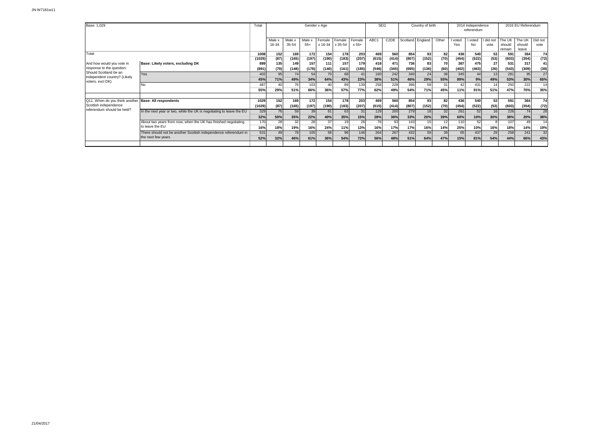| Base: 1,029                                      |                                                                      | Total           | Gender x Age               |                |                |                           |               |               |                | <b>SEG</b>                    | Country of birth |               |          |         | 2014 Independence<br>referendum |               | 2016 EU Referendum |                 |                |  |
|--------------------------------------------------|----------------------------------------------------------------------|-----------------|----------------------------|----------------|----------------|---------------------------|---------------|---------------|----------------|-------------------------------|------------------|---------------|----------|---------|---------------------------------|---------------|--------------------|-----------------|----------------|--|
|                                                  |                                                                      |                 | Male x                     | Male x         | Male x         | Female                    | Female        | Female        | ABC1           | C <sub>2</sub> D <sub>E</sub> | Scotland England |               | Other    | voted   | I voted                         | did not       | The UK             | The UK          | Did not        |  |
|                                                  |                                                                      |                 | 16-34                      | 35-54          | $55+$          | x 16-34 x 35-54           |               | $x 55+$       |                |                               |                  |               |          | Yes     | <b>No</b>                       | vote          | should<br>remain   | should<br>leave | vote           |  |
| Total                                            |                                                                      | 1008<br>        | 152<br>--------            | 169<br>------  | 172<br>------- | 154<br>                   | 178<br>       | 203<br>------ | 469<br>        | 560<br>                       | 854<br>          | 93<br>        | 82<br>   | 436<br> | 540<br>                         | 53<br>        | 591                | 364<br>         | 74<br>         |  |
|                                                  |                                                                      | (1029)          | (87)                       | (165)          | (197)          | (190)                     | (183)         | (207)         | (615)          | (414)                         | (807)            | (152)         | (70)     | (454)   | (522)                           | (53)          | (603)              | (354)           | (72)           |  |
| And how would you vote in                        | Base: Likely voters, excluding DK                                    | 889             | 135                        | 149            | 157            | 111                       | 157           | 179           | 418            | 471                           | 736              | 83            | 70       | 387     | 475                             | 27            | 531                | 317             | 41             |  |
| response to the question:                        |                                                                      | (891)           | (79)                       | (148)          | (178)          | (140)                     | (161)         | (185)         | (546)          | (345)                         | (695)            | (136)         | (60)     | (402)   | (463)                           | (26)          | (543)              | (309)           | (39)           |  |
| Should Scotland be an                            | Yes                                                                  | 402<br>-------- | 95<br>------               | 74<br>-------- | 54<br>         | 70<br>                    | 68<br>------- | --------      | 160<br>------- | 242<br>-------                | 340<br>-------   | 24<br>------- | 38<br>   | 345<br> | 44<br>-------                   | 13<br>------- | 281<br>            | 95<br>          | 27<br>-------- |  |
| independent country? (Likely<br>voters, excl DK) |                                                                      | 45%             | 71%                        | 49%            | 34%            | 64%                       | 43%           | 23%           | 38%            | 51%                           | 46%              | 29%           | 55%      | 89%     | 9%                              | 49%           | 53%                | 30%             | 65%            |  |
|                                                  | No                                                                   | 487             | $\Delta f$                 | 76             | 103            | 40                        | 89            | 139           | 258            | 228<br>----                   | 396              | 59            | 31       | 42      | 431                             |               | 250                | 222             | 14             |  |
|                                                  |                                                                      | 55%             | ------<br>29%              | 51%            | 66%            | <br>36%                   | 57%           | 77%           | <br>62%        | 49%                           | 54%              | <br>71%       | .<br>45% | 11%     | <br>91%                         | 51%           | 47%                | -------<br>70%  | <br>35%        |  |
|                                                  |                                                                      |                 |                            |                |                |                           |               |               |                |                               |                  |               |          |         |                                 |               |                    |                 |                |  |
| Q11. When do you think another                   | <b>Base: All respondents</b>                                         | 1029            | 152                        | 169            | 172            | 154                       | 178           | 203           | 469            | 560                           | 854              | 93            | 82       | 436     | 540                             | 53            | 591                | 364             | 74             |  |
| Scottish independence                            |                                                                      | (1029)          | (87)                       | (165)          | (197)          | (190)                     | (183)         | (207)         | (615)          | (414)                         | (807)            | (152)         | (70)     | (454)   | (522)                           | (53)          | (603)              | (354)           | (72)           |  |
| referendum should be held?                       | In the next year or two, while the UK is negotiating to leave the EU | 329             | 76                         | 59             | 39             | 61                        | 63            |               | 129            | 200                           | 279              | 18            | 32       | 261     | 52                              |               | 226                | 74              | 28<br>.        |  |
|                                                  |                                                                      | <br>32%         | <b>BE R RE RE !</b><br>50% | 35%            | 22%            | 40%                       | 35%           | 15%           | <br>28%        | 36%                           | 33%              | 20%           | 39%      | 60%     | <br>10%                         | 30%           | 38%                | <br>20%         | 38%            |  |
|                                                  | About two years from now, when the UK has finished negotiating       | 170<br>-------  | 28<br>                     | 32             | 28             | 37<br>------              | 19            | 26            | 76<br>------   | 93                            | 143              | 15<br>------  |          | 110     | 52<br>                          |               | 107                | 49<br>------    | 14<br>         |  |
|                                                  | to leave the EU                                                      | 16%             | 18%                        | 19%            | 16%            | 24%                       | 11%           | 13%           | 16%            | 17%                           | 17%              | 16%           | 14%      | 25%     | 10%                             | 16%           | 18%                | 14%             | 19%            |  |
|                                                  | There should not be another Scottish independence referendum in      | 531             | 49                         | 78             | 105            | 56                        | 96            | 146           | 264            | 267                           | 432              | 59            | 39       | 65      | 437                             | 29            | 258                | 241             | 32             |  |
|                                                  | the next few years                                                   |                 | <br>32%                    | 46%            | 61%            | <b>BE 20 20 21</b><br>36% | 54%           | 72%           | <br>56%        | <b>The Story</b><br>48%       | 51%              | <br>64%       | 47%      | 15%     | <br>81%                         | 54%           | 44%                | <br>66%         | <br>43%        |  |
|                                                  |                                                                      |                 |                            |                |                |                           |               |               |                |                               |                  |               |          |         |                                 |               |                    |                 |                |  |